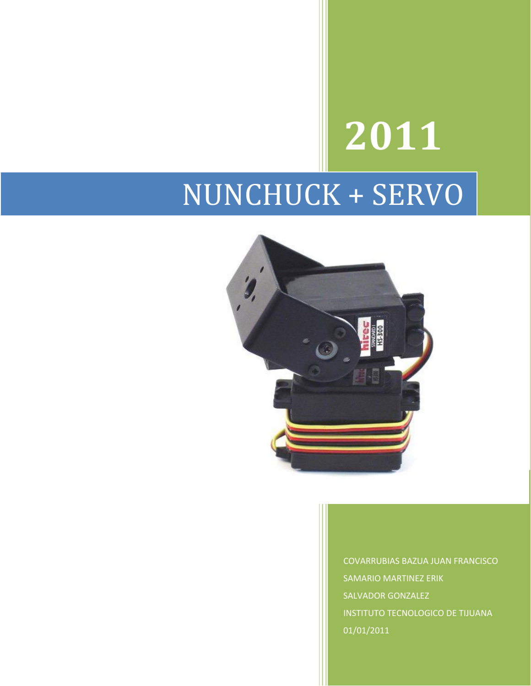## **2011** NUNCHUCK + SERVO



COVARRUBIAS BAZUA JUAN FRANCISCO SAMARIO MARTINEZ ERIK SALVADOR GONZALEZ INSTITUTO TECNOLOGICO DE TIJUANA 01/01/2011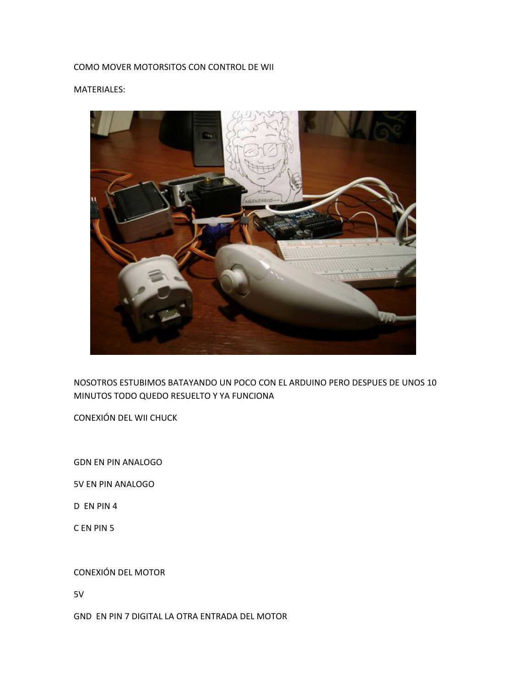## COMO MOVER MOTORSITOS CON CONTROL DE WII

## MATERIALES:



NOSOTROS ESTUBIMOS BATAYANDO UN POCO CON EL ARDUINO PERO DESPUES DE UNOS 10 MINUTOS TODO QUEDO RESUELTO Y YA FUNCIONA

CONEXIÓN DEL WII CHUCK

GDN EN PIN ANALOGO

5V EN PIN ANALOGO

D EN PIN 4

C EN PIN 5

## CONEXIÓN DEL MOTOR

5V

GND EN PIN 7 DIGITAL LA OTRA ENTRADA DEL MOTOR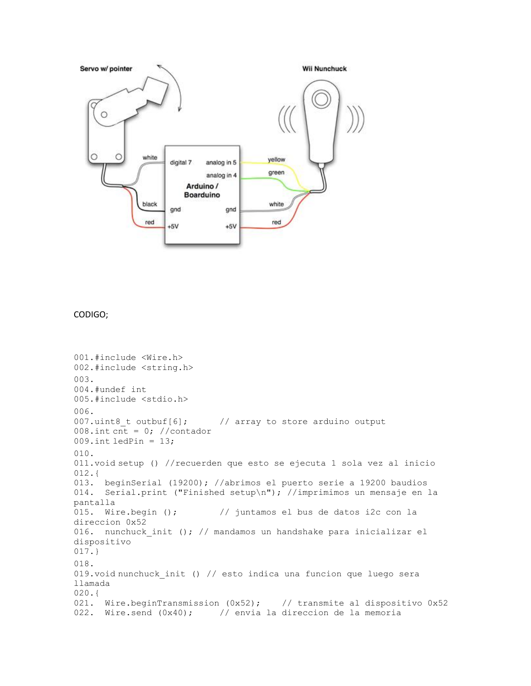

CODIGO;

```
001.#include <Wire.h>
002.#include <string.h>
003.
004.#undef int
005.#include <stdio.h>
006.
007.uint8 t outbuf[6]; // array to store arduino output
008.int cnt = 0; //contador
009. int ledPin = 13;
010.
011.void setup () //recuerden que esto se ejecuta 1 sola vez al inicio
012.013. beginSerial (19200); //abrimos el puerto serie a 19200 baudios
014. Serial.print ("Finished setup\n"); //imprimimos un mensaje en la 
pantalla
015. Wire.begin (); // juntamos el bus de datos i2c con la 
direccion 0x52 
016. nunchuck init (); // mandamos un handshake para inicializar el
dispositivo
017.}
018.
019.void nunchuck_init () // esto indica una funcion que luego sera 
llamada
020.{
021. Wire.beginTransmission (0x52); // transmite al dispositivo 0x52022. Wire.send (0x40); // envia la direccion de la memoria
```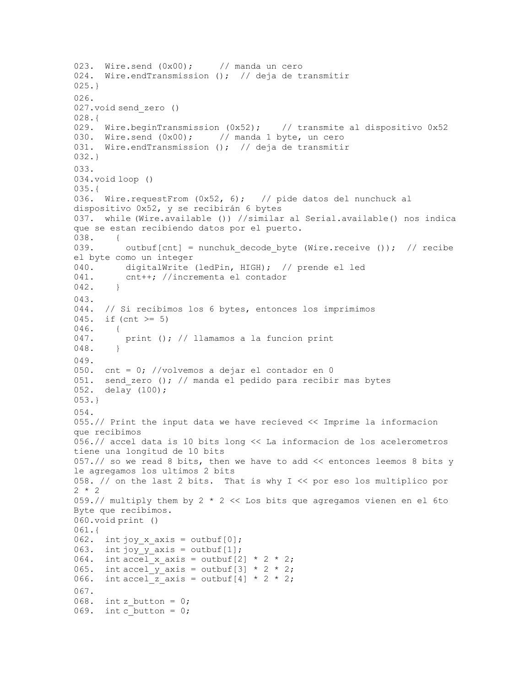```
023. Wire.send (0x00); // manda un cero
024. Wire.endTransmission (); // deja de transmitir
025.}
026.
027.void send_zero ()
028.{
029. Wire.beginTransmission (0x52); // transmite al dispositivo 0x52
030. Wire.send (0x00); // manda 1 byte, un cero
031. Wire.endTransmission (); // deja de transmitir
032.}
033.
034.void loop ()
035.{
036. Wire.requestFrom (0x52, 6); // pide datos del nunchuck al
dispositivo 0x52, y se recibirán 6 bytes
037. while (Wire.available ()) //similar al Serial.available() nos indica 
que se estan recibiendo datos por el puerto.
038. {
039. outbuf[cnt] = nunchuk decode byte (Wire.receive ()); // recibe
el byte como un integer
040. digitalWrite (ledPin, HIGH); // prende el led
041. cnt++; //incrementa el contador
042. }
043.
044. // Si recibimos los 6 bytes, entonces los imprimimos
045. if (cnt >= 5)
046. {
047. print (); // llamamos a la funcion print
048. }
049.
050. cnt = 0; //volvemos a dejar el contador en 0
051. send zero (); // manda el pedido para recibir mas bytes
052. delay (100);
053.}
054.
055.// Print the input data we have recieved << Imprime la informacion 
que recibimos
056.// accel data is 10 bits long << La informacion de los acelerometros 
tiene una longitud de 10 bits
057.// so we read 8 bits, then we have to add << entonces leemos 8 bits y 
le agregamos los ultimos 2 bits
058. // on the last 2 bits. That is why I << por eso los multiplico por 
2 * 2059.// multiply them by 2 * 2 << Los bits que agregamos vienen en el 6to 
Byte que recibimos.
060.void print ()
061.{
062. int joy_x_axis = outbuf[0];063. int joy_y_axis = outbuf[1];
064. int accel x axis = outbuf[2] * 2 * 2;
065. int accel y axis = outbuf[3] * 2 * 2;
066. int accel z axis = outbuf[4] * 2 * 2;
067.
068. int z button = 0;
069. int c button = 0;
```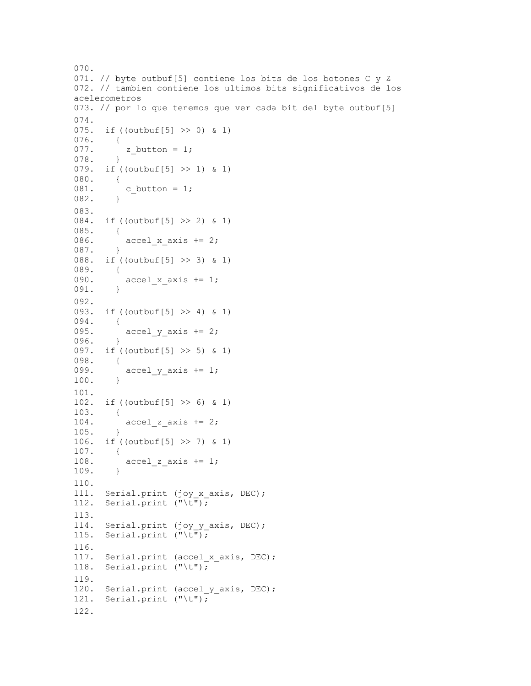```
070.
071. // byte outbuf[5] contiene los bits de los botones C y Z
072. // tambien contiene los ultimos bits significativos de los 
acelerometros
073. // por lo que tenemos que ver cada bit del byte outbuf[5]
074.
075. if ((outbuf[5] >> 0) & 1)
076. {
077. z_b z button = 1;
078. }
079. if ((outbuf[5] >> 1) & 1)
080. {
081. c button = 1;082. }
083.
084. if ((outbuf[5] >> 2) & 1)
085. {
086. \operatorname{accel\_x\_axis} += 2;
087. }
088. if ((outbuf[5] >> 3) & 1)
089. {<br>090.
        accel_x_axis += 1;
091. }
092.
093. if ((outbuf[5] >> 4) & 1)
094. {
095. \operatorname{accel} y axis += 2;
096. }
097. if ((outbuf[5] >> 5) & 1)
098. {
        \texttt{accel_y-axis} += 1;
100. }
101.
102. if ((outbuf[5] >> 6) & 1)
103. {<br>104.accel z axis += 2;105. }
106. if ((outbuf[5] >> 7) & 1)
107. {
108. \alpha accel z axis += 1;
108. }
110.
111. Serial.print (joy x axis, DEC);
112. Serial.print (\sqrt[n]{t^n});
113.
114. Serial.print (joy_y_axis, DEC);
115. Serial.print (\cdot,\cdot,\cdot):
116.
117. Serial.print (accel_x_axis, DEC);
118. Serial.print ("\t");
119.
120. Serial.print (accel_y_axis, DEC);
121. Serial.print ("\t");
122.
```